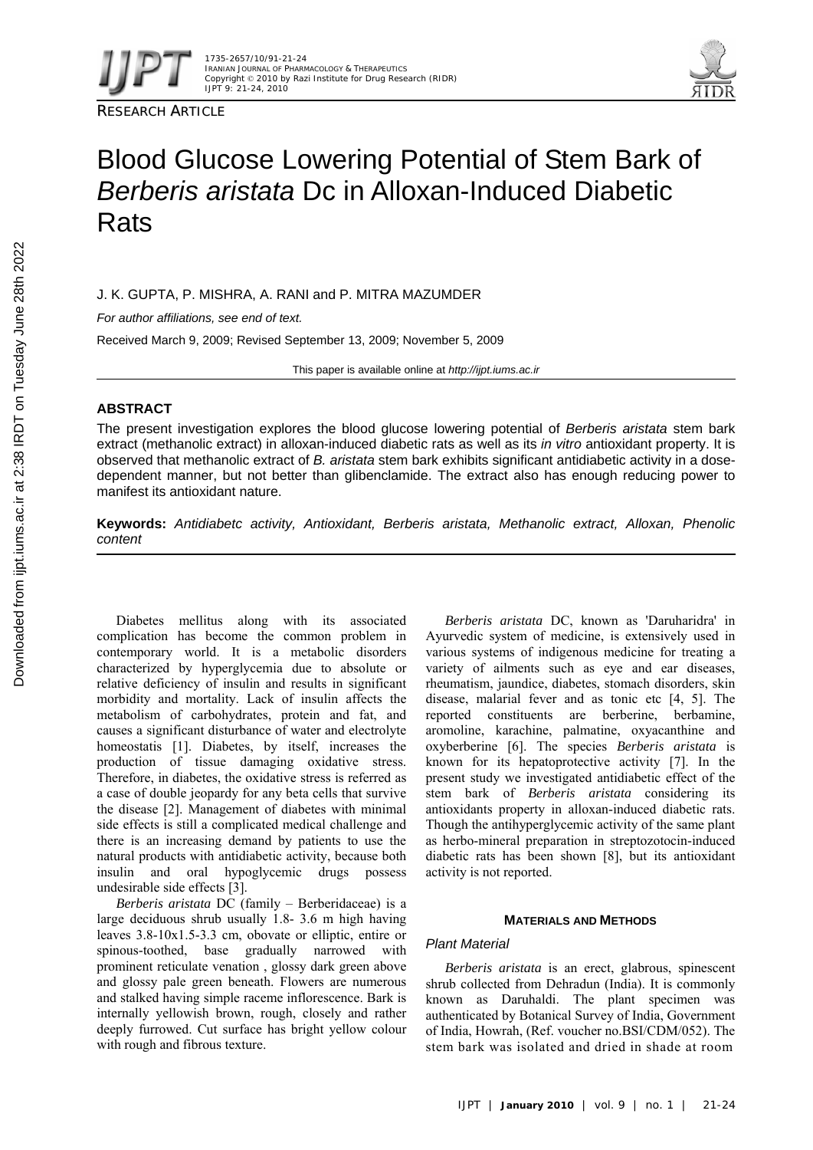



# Blood Glucose Lowering Potential of Stem Bark of *Berberis aristata* Dc in Alloxan-Induced Diabetic **Rats**

J. K. GUPTA, P. MISHRA, A. RANI and P. MITRA MAZUMDER

*For author affiliations, see end of text.* 

Received March 9, 2009; Revised September 13, 2009; November 5, 2009

This paper is available online at *http://ijpt.iums.ac.ir*

# **ABSTRACT**

The present investigation explores the blood glucose lowering potential of *Berberis aristata* stem bark extract (methanolic extract) in alloxan-induced diabetic rats as well as its *in vitro* antioxidant property. It is observed that methanolic extract of *B. aristata* stem bark exhibits significant antidiabetic activity in a dosedependent manner, but not better than glibenclamide. The extract also has enough reducing power to manifest its antioxidant nature.

**Keywords:** *Antidiabetc activity, Antioxidant, Berberis aristata, Methanolic extract, Alloxan, Phenolic content* 

Diabetes mellitus along with its associated complication has become the common problem in contemporary world. It is a metabolic disorders characterized by hyperglycemia due to absolute or relative deficiency of insulin and results in significant morbidity and mortality. Lack of insulin affects the metabolism of carbohydrates, protein and fat, and causes a significant disturbance of water and electrolyte homeostatis [1]. Diabetes, by itself, increases the production of tissue damaging oxidative stress. Therefore, in diabetes, the oxidative stress is referred as a case of double jeopardy for any beta cells that survive the disease [2]. Management of diabetes with minimal side effects is still a complicated medical challenge and there is an increasing demand by patients to use the natural products with antidiabetic activity, because both insulin and oral hypoglycemic drugs possess undesirable side effects [3].

*Berberis aristata* DC (family – Berberidaceae) is a large deciduous shrub usually 1.8- 3.6 m high having leaves 3.8-10x1.5-3.3 cm, obovate or elliptic, entire or spinous-toothed, base gradually narrowed with prominent reticulate venation , glossy dark green above and glossy pale green beneath. Flowers are numerous and stalked having simple raceme inflorescence. Bark is internally yellowish brown, rough, closely and rather deeply furrowed. Cut surface has bright yellow colour with rough and fibrous texture.

*Berberis aristata* DC, known as 'Daruharidra' in Ayurvedic system of medicine, is extensively used in various systems of indigenous medicine for treating a variety of ailments such as eye and ear diseases, rheumatism, jaundice, diabetes, stomach disorders, skin disease, malarial fever and as tonic etc  $[4, 5]$ . The reported constituents are berberine, berbamine, aromoline, karachine, palmatine, oxyacanthine and oxyberberine [ 6]. The species *Berberis aristata* is known for its hepatoprotective activity [7]. In the present study we investigated antidiabetic effect of the stem bark of *Berberis aristata* considering its antioxidants property in alloxan-induced diabetic rats. Though the antihyperglycemic activity of the same plant as herbo-mineral preparation in streptozotocin-induced diabetic rats has been shown [8], but its antioxidant activity is not reported.

## **MATERIALS AND METHODS**

# *Plant Material*

*Berberis aristata* is an erect, glabrous, spinescent shrub collected from Dehradun (India). It is commonly known as Daruhaldi. The plant specimen was authenticated by Botanical Survey of India, Government of India, Howrah, (Ref. voucher no.BSI/CDM/052). The stem bark was isolated and dried in shade at room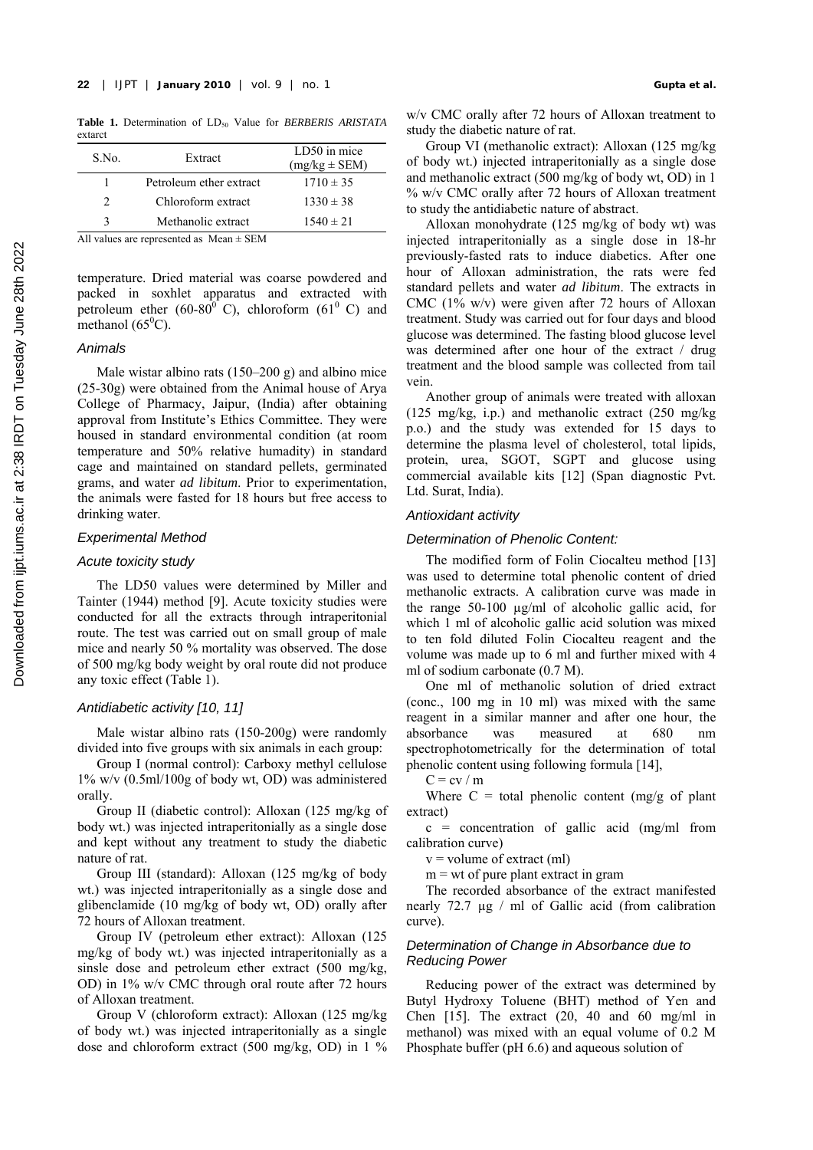**Study the diabetic nature of rate.** Table 1. Determination of LD<sub>50</sub> Value for *BERBERIS ARISTATA* study the diabetic nature of rat. extarct

| S.No.        | Extract                 | LD50 in mice<br>$(mg/kg \pm SEM)$ |  |  |  |
|--------------|-------------------------|-----------------------------------|--|--|--|
|              | Petroleum ether extract | $1710 \pm 35$                     |  |  |  |
| C            | Chloroform extract      | $1330 \pm 38$                     |  |  |  |
| $\mathbf{R}$ | Methanolic extract      | $1540 \pm 21$                     |  |  |  |
| 11           | $\cdot$ 1               |                                   |  |  |  |

All values are represented as Mean ± SEM

temperature. Dried material was coarse powdered and packed in soxhlet apparatus and extracted with petroleum ether (60-80 $^{0}$ °C), chloroform (61 $^{0}$ °C) and methanol  $(65^{\circ}C)$ .

#### *Animals*

Male wistar albino rats  $(150-200 \text{ g})$  and albino mice (25-30g) were obtained from the Animal house of Arya College of Pharmacy, Jaipur, (India) after obtaining approval from Institute's Ethics Committee. They were housed in standard environmental condition (at room temperature and 50% relative humadity) in standard cage and maintained on standard pellets, germinated grams, and water *ad libitum*. Prior to experimentation, the animals were fasted for 18 hours but free access to drinking water.

### *Experimental Method*

## *Acute toxicity study*

The LD50 values were determined by Miller and Tainter (1944) method [9]. Acute toxicity studies were conducted for all the extracts through intraperitonial route. The test was carried out on small group of male mice and nearly 50 % mortality was observed. The dose of 500 mg/kg body weight by oral route did not produce any toxic effect (Table 1).

## *Antidiabetic activity [10, 11]*

Male wistar albino rats (150-200g) were randomly divided into five groups with six animals in each group:

Group I (normal control): Carboxy methyl cellulose 1% w/v (0.5ml/100g of body wt, OD) was administered orally.

Group II (diabetic control): Alloxan (125 mg/kg of body wt.) was injected intraperitonially as a single dose and kept without any treatment to study the diabetic nature of rat.

Group III (standard): Alloxan (125 mg/kg of body wt.) was injected intraperitonially as a single dose and glibenclamide (10 mg/kg of body wt, OD) orally after 72 hours of Alloxan treatment.

Group IV (petroleum ether extract): Alloxan (125 mg/kg of body wt.) was injected intraperitonially as a sinsle dose and petroleum ether extract (500 mg/kg, OD) in 1% w/v CMC through oral route after 72 hours of Alloxan treatment.

Group V (chloroform extract): Alloxan (125 mg/kg of body wt.) was injected intraperitonially as a single dose and chloroform extract (500 mg/kg, OD) in 1 % w/v CMC orally after 72 hours of Alloxan treatment to

Group VI (methanolic extract): Alloxan (125 mg/kg of body wt.) injected intraperitonially as a single dose and methanolic extract (500 mg/kg of body wt, OD) in 1 % w/v CMC orally after 72 hours of Alloxan treatment to study the antidiabetic nature of abstract.

Alloxan monohydrate (125 mg/kg of body wt) was injected intraperitonially as a single dose in 18-hr previously-fasted rats to induce diabetics. After one hour of Alloxan administration, the rats were fed standard pellets and water *ad libitum*. The extracts in CMC  $(1\%$  w/v) were given after 72 hours of Alloxan treatment. Study was carried out for four days and blood glucose was determined. The fasting blood glucose level was determined after one hour of the extract / drug treatment and the blood sample was collected from tail vein.

Another group of animals were treated with alloxan (125 mg/kg, i.p.) and methanolic extract (250 mg/kg p.o.) and the study was extended for 15 days to determine the plasma level of cholesterol, total lipids, protein, urea, SGOT, SGPT and glucose using commercial available kits [ 12] (Span diagnostic Pvt. Ltd. Surat, India).

## *Antioxidant activity*

#### *Determination of Phenolic Content:*

The modified form of Folin Ciocalteu method [13] was used to determine total phenolic content of dried methanolic extracts. A calibration curve was made in the range 50-100 µg/ml of alcoholic gallic acid, for which 1 ml of alcoholic gallic acid solution was mixed to ten fold diluted Folin Ciocalteu reagent and the volume was made up to 6 ml and further mixed with 4 ml of sodium carbonate (0.7 M).

One ml of methanolic solution of dried extract (conc., 100 mg in 10 ml) was mixed with the same reagent in a similar manner and after one hour, the absorbance was measured at 680 nm spectrophotometrically for the determination of total phenolic content using following formula [ 14],

 $C = cv / m$ 

Where  $C =$  total phenolic content (mg/g of plant extract)

 $c =$  concentration of gallic acid (mg/ml from calibration curve)

 $v =$  volume of extract (ml)

 $m = wt$  of pure plant extract in gram

The recorded absorbance of the extract manifested nearly 72.7 µg / ml of Gallic acid (from calibration curve).

## *Determination of Change in Absorbance due to Reducing Power*

Reducing power of the extract was determined by Butyl Hydroxy Toluene (BHT) method of Yen and Chen  $[15]$ . The extract  $(20, 40 \text{ and } 60 \text{ mg/ml in})$ methanol) was mixed with an equal volume of 0.2 M Phosphate buffer (pH 6.6) and aqueous solution of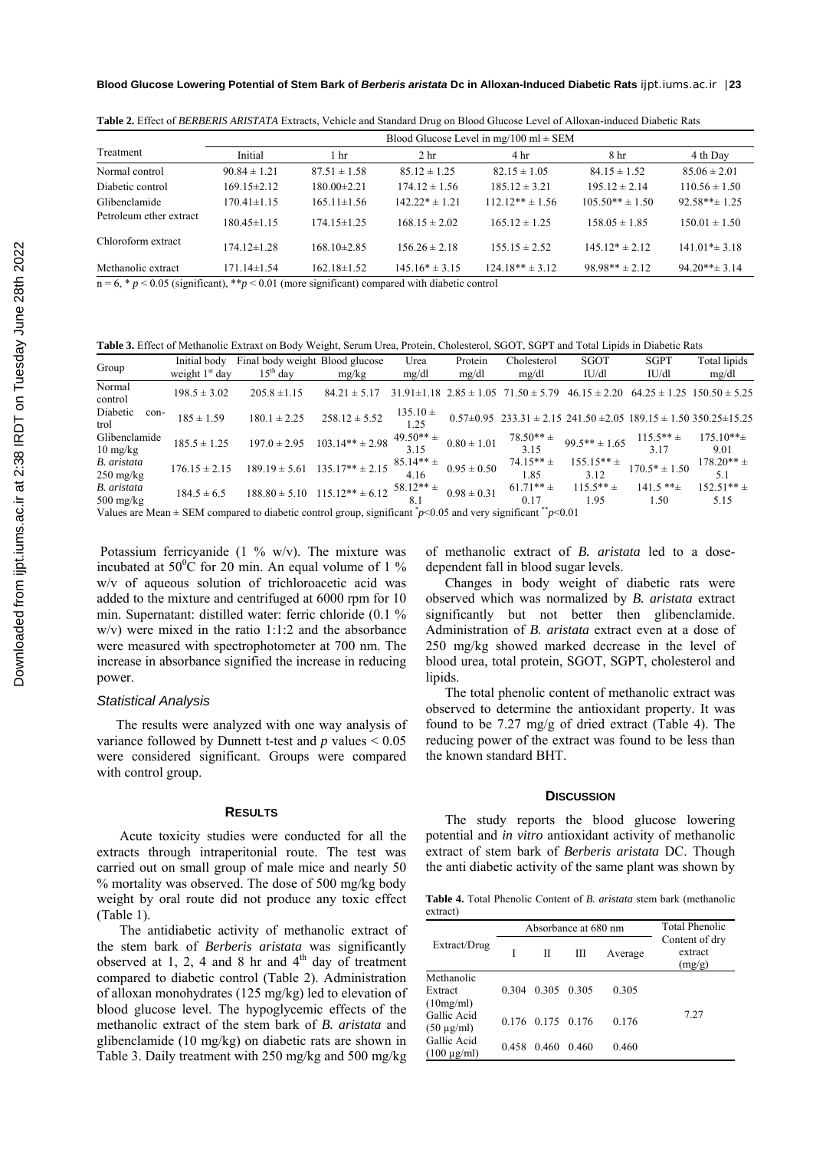|                         | Blood Glucose Level in mg/100 ml $\pm$ SEM |                   |                    |                     |                     |                    |  |
|-------------------------|--------------------------------------------|-------------------|--------------------|---------------------|---------------------|--------------------|--|
| Treatment               | Initial                                    | 1 <sub>hr</sub>   | 2 <sub>hr</sub>    | 4 hr                | 8 hr                | 4 th Day           |  |
| Normal control          | $90.84 \pm 1.21$                           | $87.51 \pm 1.58$  | $85.12 \pm 1.25$   | $82.15 \pm 1.05$    | $84.15 \pm 1.52$    | $85.06 \pm 2.01$   |  |
| Diabetic control        | $169.15 \pm 2.12$                          | $180.00 \pm 2.21$ | $174.12 \pm 1.56$  | $185.12 \pm 3.21$   | $195.12 \pm 2.14$   | $110.56 \pm 1.50$  |  |
| Glibenclamide           | $170.41 \pm 1.15$                          | $165.11 \pm 1.56$ | $142.22* \pm 1.21$ | $112.12** \pm 1.56$ | $105.50** \pm 1.50$ | $92.58***$ 1.25    |  |
| Petroleum ether extract | $180.45 \pm 1.15$                          | $174.15 \pm 1.25$ | $168.15 \pm 2.02$  | $165.12 \pm 1.25$   | $158.05 \pm 1.85$   | $150.01 \pm 1.50$  |  |
| Chloroform extract      | $174.12 \pm 1.28$                          | $168.10 \pm 2.85$ | $156.26 \pm 2.18$  | $155.15 \pm 2.52$   | $145.12* \pm 2.12$  | $141.01* \pm 3.18$ |  |
| Methanolic extract      | $7114\pm154$                               | $162.18 \pm 1.52$ | $145.16* \pm 3.15$ | $124.18** + 3.12$   | $98.98** + 2.12$    | $94.20***$ 3 14    |  |

**Table 2.** Effect of *BERBERIS ARISTATA* Extracts, Vehicle and Standard Drug on Blood Glucose Level of Alloxan-induced Diabetic Rats

 $n = 6$ ,  $\ast p < 0.05$  (significant),  $\ast \ast p < 0.01$  (more significant) compared with diabetic control

**Table 3.** Effect of Methanolic Extraxt on Body Weight, Serum Urea, Protein, Cholesterol, SGOT, SGPT and Total Lipids in Diabetic Rats

| Group                                                                                                                                    | Initial body      | Final body weight Blood glucose |                                       | Urea                 | Protein                          | Cholesterol                                                                    | <b>SGOT</b>            | <b>SGPT</b>              | Total lipids                       |
|------------------------------------------------------------------------------------------------------------------------------------------|-------------------|---------------------------------|---------------------------------------|----------------------|----------------------------------|--------------------------------------------------------------------------------|------------------------|--------------------------|------------------------------------|
|                                                                                                                                          | weight $1st$ day  | $15th$ dav                      | mg/kg                                 | mg/dl                | mg/dl                            | mg/dl                                                                          | IU/dl                  | IU/dl                    | mg/dl                              |
| Normal<br>control                                                                                                                        | $198.5 \pm 3.02$  | $205.8 \pm 1.15$                | $84.21 \pm 5.17$                      |                      | $31.91 \pm 1.18$ $2.85 \pm 1.05$ | $71.50 \pm 5.79$                                                               | $46.15 \pm 2.20$       |                          | $64.25 \pm 1.25$ 150.50 $\pm$ 5.25 |
| Diabetic<br>con-<br>trol                                                                                                                 | $185 \pm 1.59$    | $180.1 \pm 2.25$                | $258.12 \pm 5.52$                     | $135.10 \pm$<br>1.25 |                                  | $0.57\pm0.95$ $233.31\pm2.15$ $241.50\pm2.05$ $189.15\pm1.50$ $350.25\pm15.25$ |                        |                          |                                    |
| Glibenclamide<br>$10 \text{ mg/kg}$                                                                                                      | $185.5 \pm 1.25$  | $197.0 \pm 2.95$                | $103.14** \pm 2.98$                   | $49.50**$ ±          | $0.80 \pm 1.01$                  | $78.50** +$<br>3.15                                                            | $99.5*** \pm 1.65$     | $115.5***$ ±<br>3.17     | $175.10** \pm$<br>9.01             |
| B. aristata<br>$250 \text{ mg/kg}$                                                                                                       | $176.15 \pm 2.15$ | $189.19 \pm 5.61$               | $135.17** \pm 2.15$                   | $85.14** \pm$        | $0.95 \pm 0.50$                  | $74.15***$<br>1.85                                                             | $155.15** \pm$<br>3.12 | $170.5* \pm 1.50$        | $178.20** +$<br>5.1                |
| B. aristata<br>$500 \text{ mg/kg}$                                                                                                       | $184.5 \pm 6.5$   |                                 | $188.80 \pm 5.10$ $115.12** \pm 6.12$ | $58.12** \pm$        | $0.98 \pm 0.31$                  | $61.71**$ ±<br>0.17                                                            | $115.5***$ ±<br>1.95   | $141.5$ ** $\pm$<br>1.50 | $152.51** \pm$<br>5.15             |
| Values are Mean $\pm$ SEM compared to diabetic control group, significant $p$ < 0.05 and very significant $\pi$ <sup>-*</sup> $p$ < 0.01 |                   |                                 |                                       |                      |                                  |                                                                                |                        |                          |                                    |

Potassium ferricyanide (1  $\%$  w/v). The mixture was incubated at  $50^{\circ}$ C for 20 min. An equal volume of 1 % w/v of aqueous solution of trichloroacetic acid was added to the mixture and centrifuged at 6000 rpm for 10 min. Supernatant: distilled water: ferric chloride (0.1 % w/v) were mixed in the ratio 1:1:2 and the absorbance were measured with spectrophotometer at 700 nm. The increase in absorbance signified the increase in reducing power.

#### *Statistical Analysis*

The results were analyzed with one way analysis of variance followed by Dunnett t-test and *p* values < 0.05 were considered significant. Groups were compared with control group.

## **RESULTS**

 Acute toxicity studies were conducted for all the extracts through intraperitonial route. The test was carried out on small group of male mice and nearly 50 % mortality was observed. The dose of 500 mg/kg body weight by oral route did not produce any toxic effect (Table 1).

 The antidiabetic activity of methanolic extract of the stem bark of *Berberis aristata* was significantly observed at 1, 2, 4 and 8 hr and  $4<sup>th</sup>$  day of treatment compared to diabetic control (Table 2). Administration of alloxan monohydrates (125 mg/kg) led to elevation of blood glucose level. The hypoglycemic effects of the methanolic extract of the stem bark of *B. aristata* and glibenclamide (10 mg/kg) on diabetic rats are shown in Table 3. Daily treatment with 250 mg/kg and 500 mg/kg

of methanolic extract of *B. aristata* led to a dosedependent fall in blood sugar levels.

Changes in body weight of diabetic rats were observed which was normalized by *B. aristata* extract significantly but not better then glibenclamide. Administration of *B. aristata* extract even at a dose of 250 mg/kg showed marked decrease in the level of blood urea, total protein, SGOT, SGPT, cholesterol and lipids.

The total phenolic content of methanolic extract was observed to determine the antioxidant property. It was found to be 7.27 mg/g of dried extract (Table 4). The reducing power of the extract was found to be less than the known standard BHT.

#### **DISCUSSION**

The study reports the blood glucose lowering potential and *in vitro* antioxidant activity of methanolic extract of stem bark of *Berberis aristata* DC. Though the anti diabetic activity of the same plant was shown by

**Table 4.** Total Phenolic Content of *B. aristata* stem bark (methanolic extract)

|                                    |       | Absorbance at 680 nm | <b>Total Phenolic</b> |         |                                     |
|------------------------------------|-------|----------------------|-----------------------|---------|-------------------------------------|
| Extract/Drug                       |       | П                    | Ш                     | Average | Content of dry<br>extract<br>(mg/g) |
| Methanolic<br>Extract<br>(10mg/ml) | 0.304 | 0.305 0.305          |                       | 0.305   |                                     |
| Gallic Acid<br>$(50 \mu g/ml)$     |       | 0.176 0.175 0.176    |                       | 0.176   | 7.27                                |
| Gallic Acid<br>$(100 \mu g/ml)$    | 0.458 | 0.460                | 0.460                 | 0.460   |                                     |